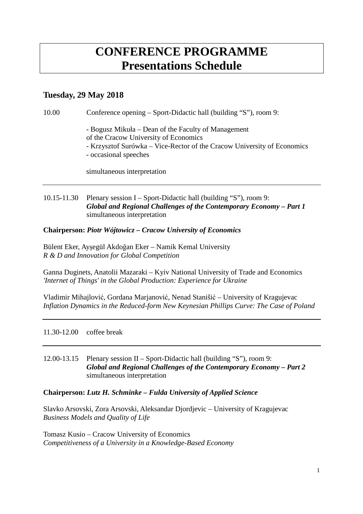# **CONFERENCE PROGRAMME Presentations Schedule**

# **Tuesday, 29 May 2018**

10.00 Conference opening – Sport-Didactic hall (building "S"), room 9:

- Bogusz Mikuła – Dean of the Faculty of Management

of the Cracow University of Economics

- Krzysztof Surówka – Vice-Rector of the Cracow University of Economics

- occasional speeches

simultaneous interpretation

10.15-11.30 Plenary session I – Sport-Didactic hall (building "S"), room 9: *Global and Regional Challenges of the Contemporary Economy – Part 1* simultaneous interpretation

**Chairperson:** *Piotr Wójtowicz – Cracow University of Economics* 

Bülent Eker, Ayşegül Akdoğan Eker – Namik Kemal University *R & D and Innovation for Global Competition*

Ganna Duginets, Anatolii Mazaraki – Kyiv National University of Trade and Economics *'Internet of Things' in the Global Production: Experience for Ukraine*

Vladimir Mihajlović, Gordana Marjanović, Nenad Stanišić – University of Kragujevac *Inflation Dynamics in the Reduced-form New Keynesian Phillips Curve: The Case of Poland*

11.30-12.00 coffee break

12.00-13.15 Plenary session II – Sport-Didactic hall (building "S"), room 9: *Global and Regional Challenges of the Contemporary Economy – Part 2* simultaneous interpretation

# **Chairperson:** *Lutz H. Schminke – Fulda University of Applied Science*

Slavko Arsovski, Zora Arsovski, Aleksandar Djordjevic – University of Kragujevac *Business Models and Quality of Life*

Tomasz Kusio – Cracow University of Economics *Competitiveness of a University in a Knowledge-Based Economy*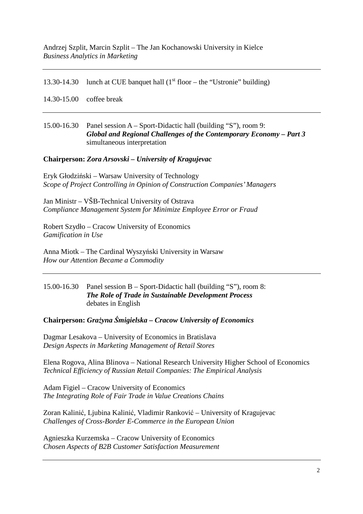13.30-14.30 lunch at CUE banquet hall  $(1<sup>st</sup> floor – the "Ustronic" building)$ 

14.30-15.00 coffee break

#### 15.00-16.30 Panel session A – Sport-Didactic hall (building "S"), room 9: *Global and Regional Challenges of the Contemporary Economy – Part 3*  simultaneous interpretation

### **Chairperson:** *Zora Arsovski – University of Kragujevac*

Eryk Głodziński – Warsaw University of Technology *Scope of Project Controlling in Opinion of Construction Companies' Managers*

Jan Ministr – VŠB-Technical University of Ostrava *Compliance Management System for Minimize Employee Error or Fraud*

Robert Szydło – Cracow University of Economics *Gamification in Use* 

Anna Miotk – The Cardinal Wyszyński University in Warsaw *How our Attention Became a Commodity*

#### 15.00-16.30 Panel session B – Sport-Didactic hall (building "S"), room 8:  *The Role of Trade in Sustainable Development Process*  debates in English

**Chairperson:** *Grażyna Śmigielska – Cracow University of Economics* 

Dagmar Lesakova – University of Economics in Bratislava *Design Aspects in Marketing Management of Retail Stores*

Elena Rogova, Alina Blinova – National Research University Higher School of Economics *Technical Efficiency of Russian Retail Companies: The Empirical Analysis*

Adam Figiel – Cracow University of Economics *The Integrating Role of Fair Trade in Value Creations Chains*

Zoran Kalinić, Ljubina Kalinić, Vladimir Ranković – University of Kragujevac *Challenges of Cross-Border E-Commerce in the European Union*

Agnieszka Kurzemska – Cracow University of Economics *Chosen Aspects of B2B Customer Satisfaction Measurement*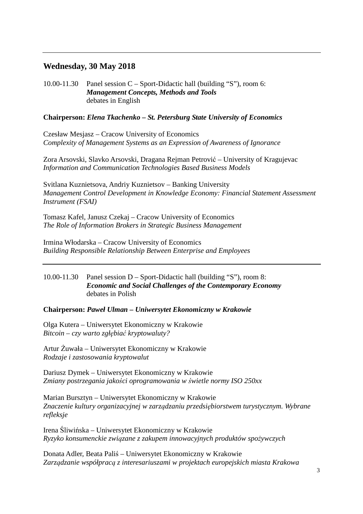# **Wednesday, 30 May 2018**

10.00-11.30 Panel session C – Sport-Didactic hall (building "S"), room 6:  *Management Concepts, Methods and Tools*  debates in English

## **Chairperson:** *Elena Tkachenko – St. Petersburg State University of Economics*

Czesław Mesjasz – Cracow University of Economics *Complexity of Management Systems as an Expression of Awareness of Ignorance*

Zora Arsovski, Slavko Arsovski, Dragana Rejman Petrović – University of Kragujevac *Information and Communication Technologies Based Business Models* 

Svitlana Kuznietsova, Andriy Kuznietsov – Banking University *Management Control Development in Knowledge Economy: Financial Statement Assessment Instrument (FSAI)*

Tomasz Kafel, Janusz Czekaj – Cracow University of Economics *The Role of Information Brokers in Strategic Business Management*

Irmina Włodarska – Cracow University of Economics *Building Responsible Relationship Between Enterprise and Employees*

#### 10.00-11.30 Panel session D – Sport-Didactic hall (building "S"), room 8: *Economic and Social Challenges of the Contemporary Economy*  debates in Polish

**Chairperson:** *Paweł Ulman – Uniwersytet Ekonomiczny w Krakowie* 

Olga Kutera – Uniwersytet Ekonomiczny w Krakowie *Bitcoin – czy warto zgłębiać kryptowaluty?* 

Artur Żuwała – Uniwersytet Ekonomiczny w Krakowie *Rodzaje i zastosowania kryptowalut* 

Dariusz Dymek – Uniwersytet Ekonomiczny w Krakowie *Zmiany postrzegania jakości oprogramowania w świetle normy ISO 250xx*

Marian Bursztyn – Uniwersytet Ekonomiczny w Krakowie *Znaczenie kultury organizacyjnej w zarządzaniu przedsiębiorstwem turystycznym. Wybrane refleksje* 

Irena Śliwińska – Uniwersytet Ekonomiczny w Krakowie *Ryzyko konsumenckie związane z zakupem innowacyjnych produktów spożywczych* 

Donata Adler, Beata Paliś – Uniwersytet Ekonomiczny w Krakowie *Zarządzanie współpracą z interesariuszami w projektach europejskich miasta Krakowa*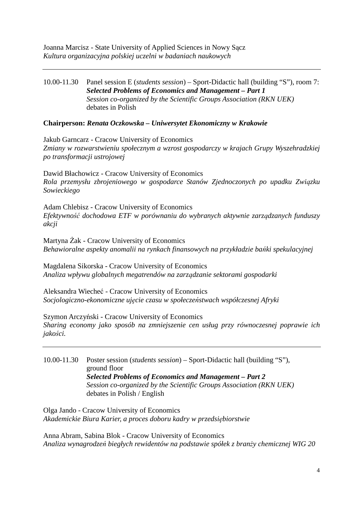### 10.00-11.30 Panel session E (*students session*) – Sport-Didactic hall (building "S"), room 7: *Selected Problems of Economics and Management – Part 1 Session co-organized by the Scientific Groups Association (RKN UEK)* debates in Polish

## **Chairperson:** *Renata Oczkowska – Uniwersytet Ekonomiczny w Krakowie*

Jakub Garncarz - Cracow University of Economics *Zmiany w rozwarstwieniu społecznym a wzrost gospodarczy w krajach Grupy Wyszehradzkiej po transformacji ustrojowej* 

Dawid Błachowicz - Cracow University of Economics *Rola przemysłu zbrojeniowego w gospodarce Stanów Zjednoczonych po upadku Związku Sowieckiego* 

Adam Chlebisz - Cracow University of Economics *Efektywność dochodowa ETF w porównaniu do wybranych aktywnie zarządzanych funduszy akcji* 

Martyna Żak - Cracow University of Economics *Behawioralne aspekty anomalii na rynkach finansowych na przykładzie bańki spekulacyjnej* 

Magdalena Sikorska - Cracow University of Economics *Analiza wpływu globalnych megatrendów na zarządzanie sektorami gospodarki* 

Aleksandra Wiecheć - Cracow University of Economics *Socjologiczno-ekonomiczne ujęcie czasu w społeczeństwach współczesnej Afryki* 

Szymon Arczyński - Cracow University of Economics

*Sharing economy jako sposób na zmniejszenie cen usług przy równoczesnej poprawie ich jakości.* 

10.00-11.30 Poster session (*students session*) – Sport-Didactic hall (building "S"), ground floor *Selected Problems of Economics and Management – Part 2 Session co-organized by the Scientific Groups Association (RKN UEK)* debates in Polish / English

Olga Jando - Cracow University of Economics *Akademickie Biura Karier, a proces doboru kadry w przedsiębiorstwie* 

Anna Abram, Sabina Blok - Cracow University of Economics *Analiza wynagrodzeń biegłych rewidentów na podstawie spółek z branży chemicznej WIG 20*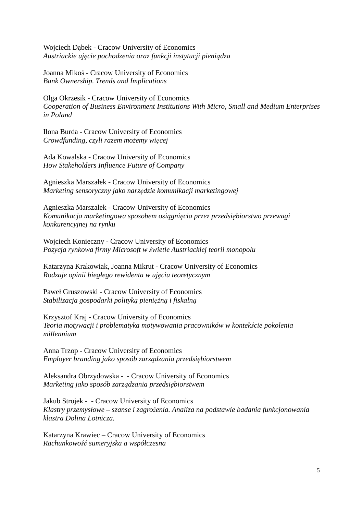Wojciech Dąbek - Cracow University of Economics *Austriackie ujęcie pochodzenia oraz funkcji instytucji pieniądza* 

Joanna Mikoś - Cracow University of Economics *Bank Ownership. Trends and Implications* 

Olga Okrzesik - Cracow University of Economics *Cooperation of Business Environment Institutions With Micro, Small and Medium Enterprises in Poland* 

Ilona Burda - Cracow University of Economics *Crowdfunding, czyli razem możemy więcej* 

Ada Kowalska - Cracow University of Economics *How Stakeholders Influence Future of Company* 

Agnieszka Marszałek - Cracow University of Economics *Marketing sensoryczny jako narzędzie komunikacji marketingowej* 

Agnieszka Marszałek - Cracow University of Economics *Komunikacja marketingowa sposobem osiągnięcia przez przedsiębiorstwo przewagi konkurencyjnej na rynku* 

Wojciech Konieczny - Cracow University of Economics *Pozycja rynkowa firmy Microsoft w świetle Austriackiej teorii monopolu* 

Katarzyna Krakowiak, Joanna Mikrut - Cracow University of Economics *Rodzaje opinii biegłego rewidenta w ujęciu teoretycznym* 

Paweł Gruszowski - Cracow University of Economics *Stabilizacja gospodarki polityką pieniężną i fiskalną*

Krzysztof Kraj - Cracow University of Economics *Teoria motywacji i problematyka motywowania pracowników w kontekście pokolenia millennium* 

Anna Trzop - Cracow University of Economics *Employer branding jako sposób zarządzania przedsiębiorstwem* 

Aleksandra Obrzydowska - - Cracow University of Economics *Marketing jako sposób zarządzania przedsiębiorstwem* 

Jakub Strojek - - Cracow University of Economics *Klastry przemysłowe – szanse i zagrożenia. Analiza na podstawie badania funkcjonowania klastra Dolina Lotnicza.* 

Katarzyna Krawiec – Cracow University of Economics *Rachunkowość sumeryjska a współczesna*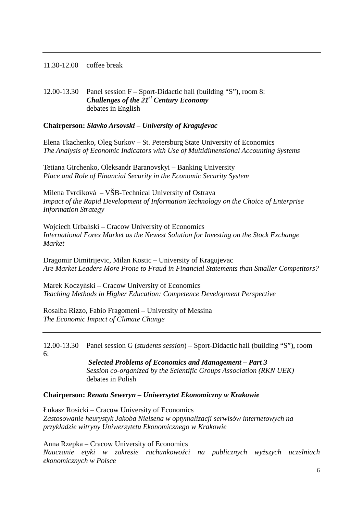#### 11.30-12.00 coffee break

### 12.00-13.30 Panel session F – Sport-Didactic hall (building "S"), room 8:  *Challenges of the 21st Century Economy*  debates in English

#### **Chairperson:** *Slavko Arsovski – University of Kragujevac*

Elena Tkachenko, Oleg Surkov – St. Petersburg State University of Economics *The Analysis of Economic Indicators with Use of Multidimensional Accounting Systems*

Tetiana Girchenko, Oleksandr Baranovskyi – Banking University *Place and Role of Financial Security in the Economic Security System*

Milena Tvrdíková – VŠB-Technical University of Ostrava *Impact of the Rapid Development of Information Technology on the Choice of Enterprise Information Strategy*

Wojciech Urbański – Cracow University of Economics *International Forex Market as the Newest Solution for Investing on the Stock Exchange Market* 

Dragomir Dimitrijevic, Milan Kostic – University of Kragujevac *Are Market Leaders More Prone to Fraud in Financial Statements than Smaller Competitors?*

Marek Koczyński – Cracow University of Economics *Teaching Methods in Higher Education: Competence Development Perspective* 

Rosalba Rizzo, Fabio Fragomeni – University of Messina *The Economic Impact of Climate Change* 

12.00-13.30 Panel session G (*students session*) – Sport-Didactic hall (building "S"), room 6:

> *Selected Problems of Economics and Management – Part 3 Session co-organized by the Scientific Groups Association (RKN UEK)* debates in Polish

#### **Chairperson:** *Renata Seweryn – Uniwersytet Ekonomiczny w Krakowie*

Łukasz Rosicki – Cracow University of Economics *Zastosowanie heurystyk Jakoba Nielsena w optymalizacji serwisów internetowych na przykładzie witryny Uniwersytetu Ekonomicznego w Krakowie* 

Anna Rzepka – Cracow University of Economics *Nauczanie etyki w zakresie rachunkowości na publicznych wyższych uczelniach ekonomicznych w Polsce*